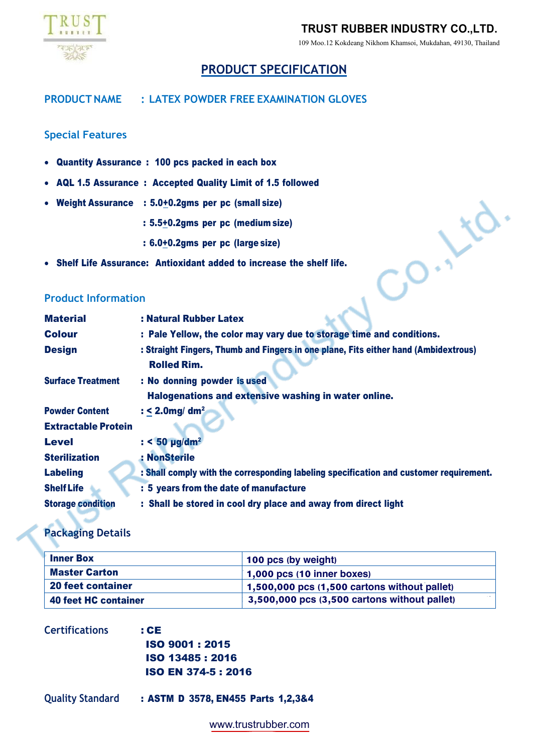

## **TRUST RUBBER INDUSTRY CO.,LTD.**

109 Moo.12 Kokdeang Nikhom Khamsoi, Mukdahan, 49130, Thailand

# **PRODUCT SPECIFICATION**

### **PRODUCTNAME : LATEX POWDER FREE EXAMINATION GLOVES**

### **Special Features**

- Quantity Assurance : 100 pcs packed in each box
- AQL 1.5 Assurance : Accepted Quality Limit of 1.5 followed
- Weight Assurance : 5.0+0.2gms per pc (small size)
	- : 5.5+0.2gms per pc (medium size)
	- : 6.0+0.2gms per pc (large size)
- 

### **Product Information**

| • Weight Assurance         | : 5.0+0.2gms per pc (small size)                                                                          |
|----------------------------|-----------------------------------------------------------------------------------------------------------|
|                            | : 5.5+0.2gms per pc (medium size)                                                                         |
|                            | : 6.0+0.2gms per pc (large size)                                                                          |
|                            | • Shelf Life Assurance: Antioxidant added to increase the shelf life.                                     |
| <b>Product Information</b> |                                                                                                           |
| <b>Material</b>            | : Natural Rubber Latex                                                                                    |
| <b>Colour</b>              | : Pale Yellow, the color may vary due to storage time and conditions.                                     |
| <b>Design</b>              | : Straight Fingers, Thumb and Fingers in one plane, Fits either hand (Ambidextrous)<br><b>Rolled Rim.</b> |
| <b>Surface Treatment</b>   | : No donning powder is used                                                                               |
|                            | Halogenations and extensive washing in water online.                                                      |
| <b>Powder Content</b>      | : < 2.0mg/ $dm2$                                                                                          |
| <b>Extractable Protein</b> |                                                                                                           |
| <b>Level</b>               | $: < 50$ µg/dm <sup>2</sup>                                                                               |
| <b>Sterilization</b>       | : NonSterile                                                                                              |
| <b>Labeling</b>            | : Shall comply with the corresponding labeling specification and customer requirement.                    |
| <b>Shelf Life</b>          | : 5 years from the date of manufacture                                                                    |
| <b>Storage condition</b>   | : Shall be stored in cool dry place and away from direct light                                            |

### **Packaging Details**

| <b>Inner Box</b>         | 100 pcs (by weight)                          |  |  |  |
|--------------------------|----------------------------------------------|--|--|--|
| <b>Master Carton</b>     | 1,000 pcs (10 inner boxes)                   |  |  |  |
| <b>20 feet container</b> | 1,500,000 pcs (1,500 cartons without pallet) |  |  |  |
| 40 feet HC container     | 3,500,000 pcs (3,500 cartons without pallet) |  |  |  |

| <b>Certifications</b> | : CE                       |
|-----------------------|----------------------------|
|                       | <b>ISO 9001:2015</b>       |
|                       | ISO 13485 : 2016           |
|                       | <b>ISO EN 374-5 : 2016</b> |

**Quality Standard** : ASTM D 3578, EN455 Parts 1,2,3&4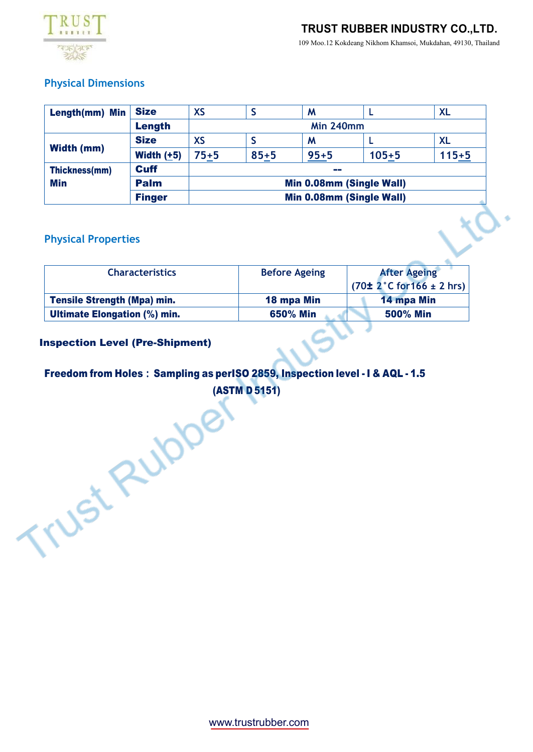

# **TRUST RUBBER INDUSTRY CO.,LTD.**

109 Moo.12 Kokdeang Nikhom Khamsoi, Mukdahan, 49130, Thailand

### **Physical Dimensions**

| Length(mm) Min    | <b>Size</b>   | <b>XS</b>                |          | M        |           | <b>XL</b> |
|-------------------|---------------|--------------------------|----------|----------|-----------|-----------|
|                   | Length        | <b>Min 240mm</b>         |          |          |           |           |
| <b>Width (mm)</b> | <b>Size</b>   | <b>XS</b>                |          | M        |           | <b>XL</b> |
|                   | Width $(+5)$  | $75 + 5$                 | $85 + 5$ | $95 + 5$ | $105 + 5$ | $115 + 5$ |
| Thickness(mm)     | <b>Cuff</b>   | --                       |          |          |           |           |
| <b>Min</b>        | <b>Palm</b>   | Min 0.08mm (Single Wall) |          |          |           |           |
|                   | <b>Finger</b> | Min 0.08mm (Single Wall) |          |          |           |           |

### **Physical Properties**

| <b>Characteristics</b>              | <b>Before Ageing</b> | <b>After Ageing</b><br>$(70\pm 2^{\circ}C \text{ for } 166 \pm 2 \text{ hrs})$ |  |  |
|-------------------------------------|----------------------|--------------------------------------------------------------------------------|--|--|
| <b>Tensile Strength (Mpa) min.</b>  | 18 mpa Min           | 14 mpa Min                                                                     |  |  |
| <b>Ultimate Elongation (%) min.</b> | 650% Min             | <b>500% Min</b>                                                                |  |  |

 $\sim$ 

### Inspection Level (Pre-Shipment)

# Freedom from Holes **:** Sampling as perISO 2859, Inspection level - I & AQL - 1.5 Trust Rubbery

www.trustrubber.com ww.trustrubber.com